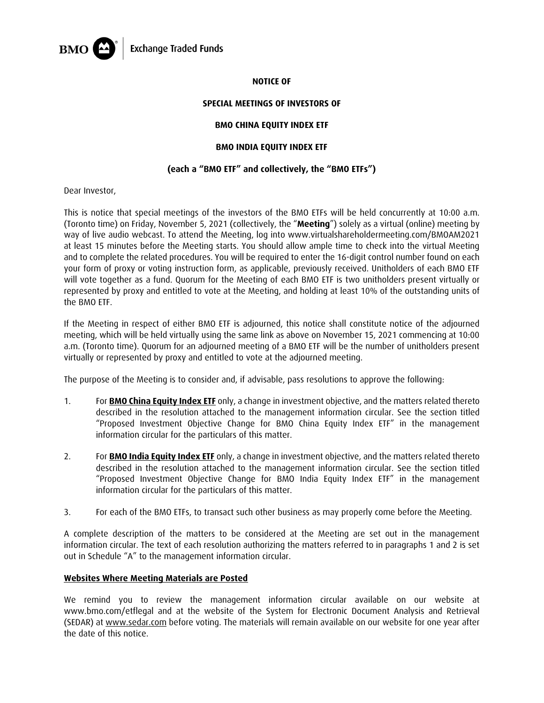

### **NOTICE OF**

## **SPECIAL MEETINGS OF INVESTORS OF**

## **BMO CHINA EQUITY INDEX ETF**

## **BMO INDIA EQUITY INDEX ETF**

## **(each a "BMO ETF" and collectively, the "BMO ETFs")**

Dear Investor,

This is notice that special meetings of the investors of the BMO ETFs will be held concurrently at 10:00 a.m. (Toronto time) on Friday, November 5, 2021 (collectively, the "**Meeting**") solely as a virtual (online) meeting by way of live audio webcast. To attend the Meeting, log into www.virtualshareholdermeeting.com/BMOAM2021 at least 15 minutes before the Meeting starts. You should allow ample time to check into the virtual Meeting and to complete the related procedures. You will be required to enter the 16-digit control number found on each your form of proxy or voting instruction form, as applicable, previously received. Unitholders of each BMO ETF will vote together as a fund. Quorum for the Meeting of each BMO ETF is two unitholders present virtually or represented by proxy and entitled to vote at the Meeting, and holding at least 10% of the outstanding units of the BMO ETF.

If the Meeting in respect of either BMO ETF is adjourned, this notice shall constitute notice of the adjourned meeting, which will be held virtually using the same link as above on November 15, 2021 commencing at 10:00 a.m. (Toronto time). Quorum for an adjourned meeting of a BMO ETF will be the number of unitholders present virtually or represented by proxy and entitled to vote at the adjourned meeting.

The purpose of the Meeting is to consider and, if advisable, pass resolutions to approve the following:

- 1. For **BMO China Equity Index ETF** only, a change in investment objective, and the matters related thereto described in the resolution attached to the management information circular. See the section titled "Proposed Investment Objective Change for BMO China Equity Index ETF" in the management information circular for the particulars of this matter.
- 2. For **BMO India Equity Index ETF** only, a change in investment objective, and the matters related thereto described in the resolution attached to the management information circular. See the section titled "Proposed Investment Objective Change for BMO India Equity Index ETF" in the management information circular for the particulars of this matter.
- 3. For each of the BMO ETFs, to transact such other business as may properly come before the Meeting.

A complete description of the matters to be considered at the Meeting are set out in the management information circular. The text of each resolution authorizing the matters referred to in paragraphs 1 and 2 is set out in Schedule "A" to the management information circular.

#### **Websites Where Meeting Materials are Posted**

We remind you to review the management information circular available on our website at www.bmo.com/etflegal and at the website of the System for Electronic Document Analysis and Retrieval (SEDAR) at www.sedar.com before voting. The materials will remain available on our website for one year after the date of this notice.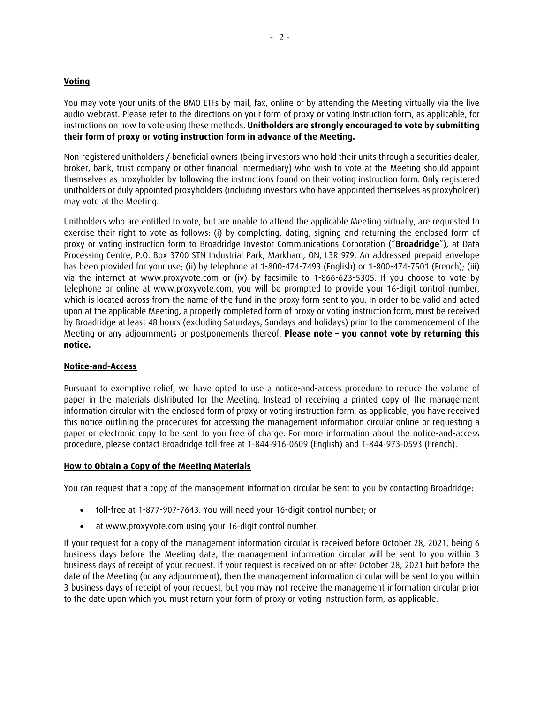## **Voting**

You may vote your units of the BMO ETFs by mail, fax, online or by attending the Meeting virtually via the live audio webcast. Please refer to the directions on your form of proxy or voting instruction form, as applicable, for instructions on how to vote using these methods. **Unitholders are strongly encouraged to vote by submitting their form of proxy or voting instruction form in advance of the Meeting.**

Non-registered unitholders / beneficial owners (being investors who hold their units through a securities dealer, broker, bank, trust company or other financial intermediary) who wish to vote at the Meeting should appoint themselves as proxyholder by following the instructions found on their voting instruction form. Only registered unitholders or duly appointed proxyholders (including investors who have appointed themselves as proxyholder) may vote at the Meeting.

Unitholders who are entitled to vote, but are unable to attend the applicable Meeting virtually, are requested to exercise their right to vote as follows: (i) by completing, dating, signing and returning the enclosed form of proxy or voting instruction form to Broadridge Investor Communications Corporation ("**Broadridge**"), at Data Processing Centre, P.O. Box 3700 STN Industrial Park, Markham, ON, L3R 9Z9. An addressed prepaid envelope has been provided for your use; (ii) by telephone at 1-800-474-7493 (English) or 1-800-474-7501 (French); (iii) via the internet at www.proxyvote.com or (iv) by facsimile to 1-866-623-5305. If you choose to vote by telephone or online at www.proxyvote.com, you will be prompted to provide your 16-digit control number, which is located across from the name of the fund in the proxy form sent to you. In order to be valid and acted upon at the applicable Meeting, a properly completed form of proxy or voting instruction form, must be received by Broadridge at least 48 hours (excluding Saturdays, Sundays and holidays) prior to the commencement of the Meeting or any adjournments or postponements thereof. **Please note – you cannot vote by returning this notice.**

### **Notice-and-Access**

Pursuant to exemptive relief, we have opted to use a notice-and-access procedure to reduce the volume of paper in the materials distributed for the Meeting. Instead of receiving a printed copy of the management information circular with the enclosed form of proxy or voting instruction form, as applicable, you have received this notice outlining the procedures for accessing the management information circular online or requesting a paper or electronic copy to be sent to you free of charge. For more information about the notice-and-access procedure, please contact Broadridge toll-free at 1-844-916-0609 (English) and 1-844-973-0593 (French).

#### **How to Obtain a Copy of the Meeting Materials**

You can request that a copy of the management information circular be sent to you by contacting Broadridge:

- toll-free at 1-877-907-7643. You will need your 16-digit control number; or
- at www.proxyvote.com using your 16-digit control number.

If your request for a copy of the management information circular is received before October 28, 2021, being 6 business days before the Meeting date, the management information circular will be sent to you within 3 business days of receipt of your request. If your request is received on or after October 28, 2021 but before the date of the Meeting (or any adjournment), then the management information circular will be sent to you within 3 business days of receipt of your request, but you may not receive the management information circular prior to the date upon which you must return your form of proxy or voting instruction form, as applicable.